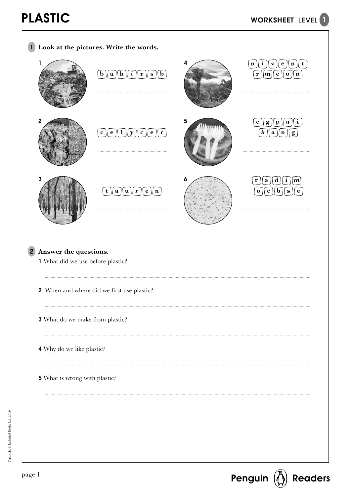

Copyright © Ladybird Books Ltd, 2019

Copyright © Ladybird Books Ltd, 2019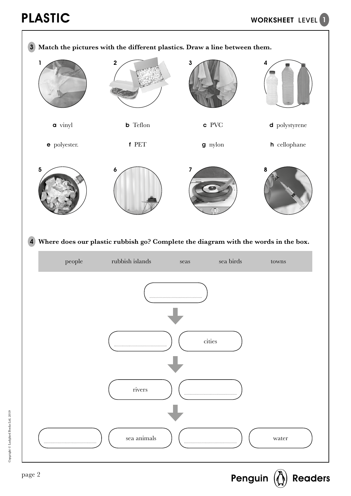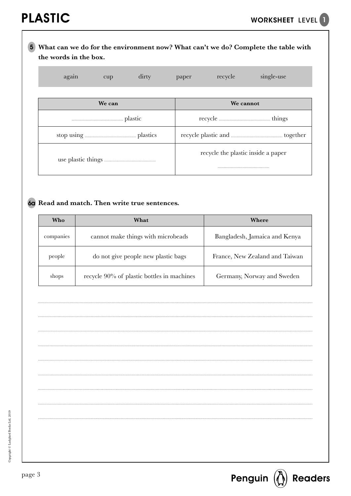# **What can we do for the environment now? What can't we do? Complete the table with**  5 **the words in the box.**

| again<br>dirty<br>cup | single-use<br>recycle<br>paper     |  |  |  |  |
|-----------------------|------------------------------------|--|--|--|--|
|                       |                                    |  |  |  |  |
| We can                | We cannot                          |  |  |  |  |
|                       |                                    |  |  |  |  |
|                       |                                    |  |  |  |  |
|                       | recycle the plastic inside a paper |  |  |  |  |

## **Read and match. Then write true sentences.** 6a

| Who       | What                                       | Where                          |
|-----------|--------------------------------------------|--------------------------------|
| companies | cannot make things with microbeads         | Bangladesh, Jamaica and Kenya  |
| people    | do not give people new plastic bags        | France, New Zealand and Taiwan |
| shops     | recycle 90% of plastic bottles in machines | Germany, Norway and Sweden     |

Copyright © Ladybird Books Ltd, 2019 Copyright © Ladybird Books Ltd, 2019